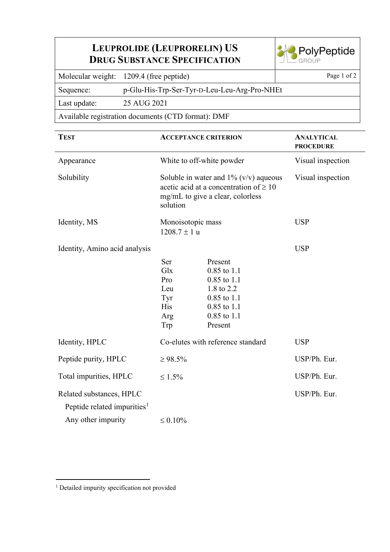## **LEUPROLIDE (LEUPRORELIN) US DRUG SUBSTANCE SPECIFICATION**



Molecular weight: 1209.4 (free peptide) Page 1 of 2

Sequence: p-Glu-His-Trp-Ser-Tyr-D-Leu-Leu-Arg-Pro-NHEt

Last update: 25 AUG 2021

Available registration documents (CTD format): DMF

| <b>TEST</b>                                                                               | <b>ACCEPTANCE CRITERION</b>                                                                                                             |                                                                                                                                 | <b>ANALYTICAL</b><br><b>PROCEDURE</b> |
|-------------------------------------------------------------------------------------------|-----------------------------------------------------------------------------------------------------------------------------------------|---------------------------------------------------------------------------------------------------------------------------------|---------------------------------------|
| Appearance                                                                                | White to off-white powder                                                                                                               |                                                                                                                                 | Visual inspection                     |
| Solubility                                                                                | Soluble in water and $1\%$ (v/v) aqueous<br>acetic acid at a concentration of $\geq 10$<br>mg/mL to give a clear, colorless<br>solution |                                                                                                                                 | Visual inspection                     |
| Identity, MS                                                                              | Monoisotopic mass<br>$1208.7 \pm 1 u$                                                                                                   |                                                                                                                                 | <b>USP</b>                            |
| Identity, Amino acid analysis                                                             | Ser<br>Glx<br>Pro<br>Leu<br>Tyr<br><b>His</b><br>Arg<br>Trp                                                                             | Present<br>$0.85$ to $1.1$<br>$0.85$ to $1.1$<br>1.8 to 2.2<br>$0.85$ to $1.1$<br>$0.85$ to $1.1$<br>$0.85$ to $1.1$<br>Present | <b>USP</b>                            |
| Identity, HPLC                                                                            | Co-elutes with reference standard                                                                                                       |                                                                                                                                 | <b>USP</b>                            |
| Peptide purity, HPLC                                                                      | $\geq 98.5\%$                                                                                                                           |                                                                                                                                 | USP/Ph. Eur.                          |
| Total impurities, HPLC                                                                    | $\leq 1.5\%$                                                                                                                            |                                                                                                                                 | USP/Ph. Eur.                          |
| Related substances, HPLC<br>Peptide related impurities <sup>1</sup><br>Any other impurity | $\leq 0.10\%$                                                                                                                           |                                                                                                                                 | USP/Ph. Eur.                          |

<span id="page-0-0"></span><sup>&</sup>lt;sup>1</sup> Detailed impurity specification not provided